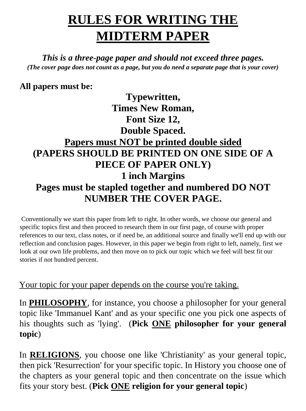### **RULES FOR WRITING THE MIDTERM PAPER**

*This is a three-page paper and should not exceed three pages. (The cover page does not count as a page, but you do need a separate page that is your cover)* 

#### **All papers must be:**

#### **Typewritten, Times New Roman, Font Size 12, Double Spaced. Papers must NOT be printed double sided (PAPERS SHOULD BE PRINTED ON ONE SIDE OF A PIECE OF PAPER ONLY) 1 inch Margins Pages must be stapled together and numbered DO NOT NUMBER THE COVER PAGE.**

Conventionally we start this paper from left to right. In other words, we choose our general and specific topics first and then proceed to research them in our first page, of course with proper references to our text, class notes, or if need be, an additional source and finally we'll end up with our reflection and conclusion pages. However, in this paper we begin from right to left, namely, first we look at our own life problems, and then move on to pick our topic which we feel will best fit our stories if not hundred percent.

Your topic for your paper depends on the course you're taking.

In **PHILOSOPHY**, for instance, you choose a philosopher for your general topic like 'Immanuel Kant' and as your specific one you pick one aspects of his thoughts such as 'lying'. (**Pick ONE philosopher for your general topic**)

In **RELIGIONS**, you choose one like 'Christianity' as your general topic, then pick 'Resurrection' for your specific topic. In History you choose one of the chapters as your general topic and then concentrate on the issue which fits your story best. (**Pick ONE religion for your general topic**)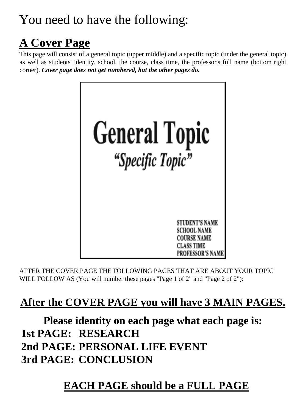### You need to have the following:

### **A Cover Page**

This page will consist of a general topic (upper middle) and a specific topic (under the general topic) as well as students' identity, school, the course, class time, the professor's full name (bottom right corner). *Cover page does not get numbered, but the other pages do.*



AFTER THE COVER PAGE THE FOLLOWING PAGES THAT ARE ABOUT YOUR TOPIC WILL FOLLOW AS (You will number these pages "Page 1 of 2" and "Page 2 of 2"):

#### **After the COVER PAGE you will have 3 MAIN PAGES.**

**Please identity on each page what each page is: 1st PAGE: RESEARCH 2nd PAGE: PERSONAL LIFE EVENT 3rd PAGE: CONCLUSION**

#### **EACH PAGE should be a FULL PAGE**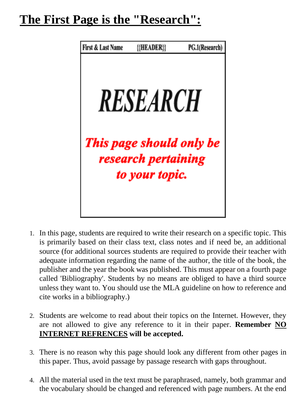#### **The First Page is the "Research":**



- 1. In this page, students are required to write their research on a specific topic. This is primarily based on their class text, class notes and if need be, an additional source (for additional sources students are required to provide their teacher with adequate information regarding the name of the author, the title of the book, the publisher and the year the book was published. This must appear on a fourth page called 'Bibliography'. Students by no means are obliged to have a third source unless they want to. You should use the MLA guideline on how to reference and cite works in a bibliography.)
- 2. Students are welcome to read about their topics on the Internet. However, they are not allowed to give any reference to it in their paper. **Remember NO INTERNET REFRENCES will be accepted.**
- 3. There is no reason why this page should look any different from other pages in this paper. Thus, avoid passage by passage research with gaps throughout.
- 4. All the material used in the text must be paraphrased, namely, both grammar and the vocabulary should be changed and referenced with page numbers. At the end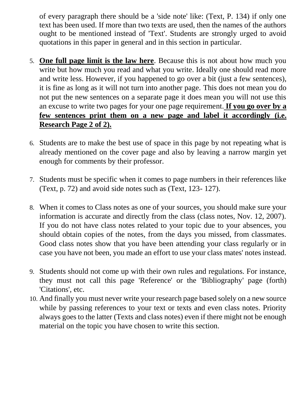of every paragraph there should be a 'side note' like: (Text, P. 134) if only one text has been used. If more than two texts are used, then the names of the authors ought to be mentioned instead of 'Text'. Students are strongly urged to avoid quotations in this paper in general and in this section in particular.

- 5. **One full page limit is the law here**. Because this is not about how much you write but how much you read and what you write. Ideally one should read more and write less. However, if you happened to go over a bit (just a few sentences), it is fine as long as it will not turn into another page. This does not mean you do not put the new sentences on a separate page it does mean you will not use this an excuse to write two pages for your one page requirement. **If you go over by a few sentences print them on a new page and label it accordingly (i.e. Research Page 2 of 2).**
- 6. Students are to make the best use of space in this page by not repeating what is already mentioned on the cover page and also by leaving a narrow margin yet enough for comments by their professor.
- 7. Students must be specific when it comes to page numbers in their references like (Text, p. 72) and avoid side notes such as (Text, 123- 127).
- 8. When it comes to Class notes as one of your sources, you should make sure your information is accurate and directly from the class (class notes, Nov. 12, 2007). If you do not have class notes related to your topic due to your absences, you should obtain copies of the notes, from the days you missed, from classmates. Good class notes show that you have been attending your class regularly or in case you have not been, you made an effort to use your class mates' notes instead.
- 9. Students should not come up with their own rules and regulations. For instance, they must not call this page 'Reference' or the 'Bibliography' page (forth) 'Citations', etc.
- 10. And finally you must never write your research page based solely on a new source while by passing references to your text or texts and even class notes. Priority always goes to the latter (Texts and class notes) even if there might not be enough material on the topic you have chosen to write this section.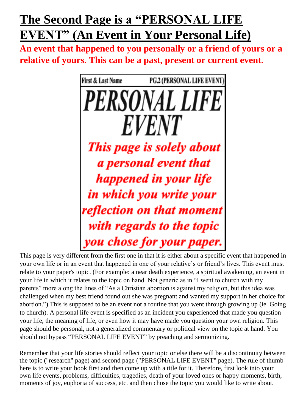### **The Second Page is a "PERSONAL LIFE EVENT" (An Event in Your Personal Life)**

**An event that happened to you personally or a friend of yours or a relative of yours. This can be a past, present or current event.**



This page is very different from the first one in that it is either about a specific event that happened in your own life or in an event that happened in one of your relative's or friend's lives. This event must relate to your paper's topic. (For example: a near death experience, a spiritual awakening, an event in your life in which it relates to the topic on hand. Not generic as in "I went to church with my parents" more along the lines of "As a Christian abortion is against my religion, but this idea was challenged when my best friend found out she was pregnant and wanted my support in her choice for abortion.") This is supposed to be an event not a routine that you went through growing up (ie. Going to church). A personal life event is specified as an incident you experienced that made you question your life, the meaning of life, or even how it may have made you question your own religion. This page should be personal, not a generalized commentary or political view on the topic at hand. You should not bypass "PERSONAL LIFE EVENT" by preaching and sermonizing.

Remember that your life stories should reflect your topic or else there will be a discontinuity between the topic ("research" page) and second page ("PERSONAL LIFE EVENT" page). The rule of thumb here is to write your book first and then come up with a title for it. Therefore, first look into your own life events, problems, difficulties, tragedies, death of your loved ones or happy moments, birth, moments of joy, euphoria of success, etc. and then chose the topic you would like to write about.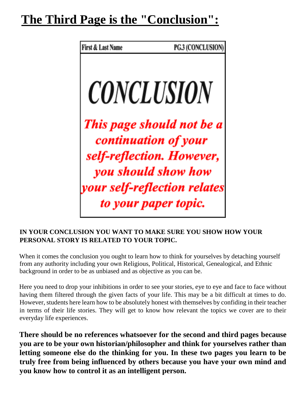### **The Third Page is the "Conclusion":**



#### **IN YOUR CONCLUSION YOU WANT TO MAKE SURE YOU SHOW HOW YOUR PERSONAL STORY IS RELATED TO YOUR TOPIC.**

When it comes the conclusion you ought to learn how to think for yourselves by detaching yourself from any authority including your own Religious, Political, Historical, Genealogical, and Ethnic background in order to be as unbiased and as objective as you can be.

Here you need to drop your inhibitions in order to see your stories, eye to eye and face to face without having them filtered through the given facts of your life. This may be a bit difficult at times to do. However, students here learn how to be absolutely honest with themselves by confiding in their teacher in terms of their life stories. They will get to know how relevant the topics we cover are to their everyday life experiences.

**There should be no references whatsoever for the second and third pages because you are to be your own historian/philosopher and think for yourselves rather than letting someone else do the thinking for you. In these two pages you learn to be truly free from being influenced by others because you have your own mind and you know how to control it as an intelligent person.**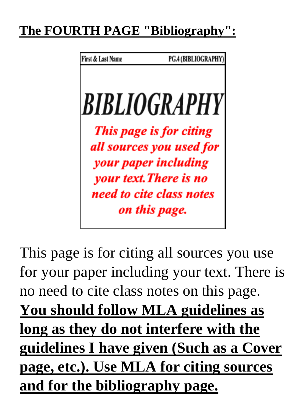## **The FOURTH PAGE "Bibliography":**

First & Last Name PG.4 (BIBLIOGRAPHY) **BIBLIOGRAPHY** This page is for citing all sources you used for your paper including your text. There is no need to cite class notes on this page.

This page is for citing all sources you use for your paper including your text. There is no need to cite class notes on this page. **You should follow MLA guidelines as long as they do not interfere with the guidelines I have given (Such as a Cover page, etc.). Use MLA for citing sources and for the bibliography page.**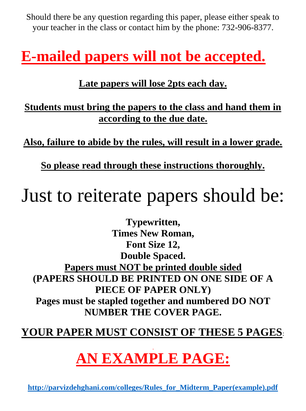Should there be any question regarding this paper, please either speak to your teacher in the class or contact him by the phone: 732-906-8377.

## **E-mailed papers will not be accepted.**

#### **Late papers will lose 2pts each day.**

**Students must bring the papers to the class and hand them in according to the due date.**

**Also, failure to abide by the rules, will result in a lower grade.** 

**So please read through these instructions thoroughly.**

# Just to reiterate papers should be:

**Typewritten, Times New Roman, Font Size 12, Double Spaced. Papers must NOT be printed double sided (PAPERS SHOULD BE PRINTED ON ONE SIDE OF A PIECE OF PAPER ONLY) Pages must be stapled together and numbered DO NOT NUMBER THE COVER PAGE.** 

#### **YOUR PAPER MUST CONSIST OF THESE 5 PAGES**:

# **AN EXAMPLE PAGE:**

**[http://parvizdehghani.com/colleges/Rules\\_for\\_Midterm\\_Paper\(example\).pdf](http://parvizdehghani.com/colleges/Rules_for_Midterm_Paper(example).pdf)**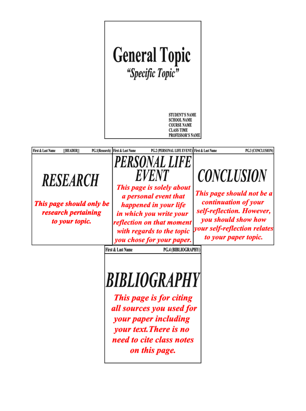